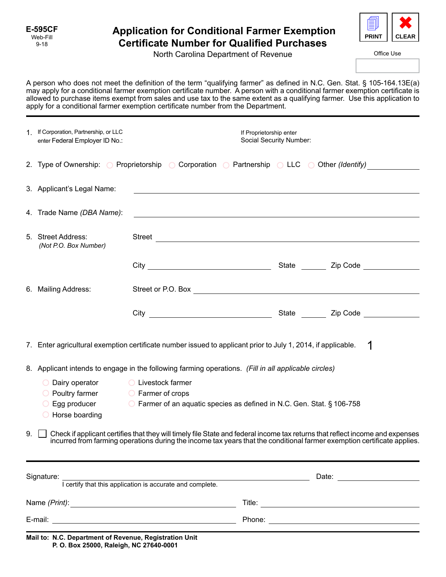## **Application for Conditional Farmer Exemption Certificate Number for Qualified Purchases**



North Carolina Department of Revenue

Office Use

A person who does not meet the definition of the term "qualifying farmer" as defined in N.C. Gen. Stat. § 105-164.13E(a) may apply for a conditional farmer exemption certificate number. A person with a conditional farmer exemption certificate is allowed to purchase items exempt from sales and use tax to the same extent as a qualifying farmer. Use this application to apply for a conditional farmer exemption certificate number from the Department.

|                                                                                                      | 1 If Corporation, Partnership, or LLC<br>enter Federal Employer ID No.:                                                                                                                                                                                  |                                                                                                                          | If Proprietorship enter<br>Social Security Number: |                                                                                                                                                                                                                                |  |
|------------------------------------------------------------------------------------------------------|----------------------------------------------------------------------------------------------------------------------------------------------------------------------------------------------------------------------------------------------------------|--------------------------------------------------------------------------------------------------------------------------|----------------------------------------------------|--------------------------------------------------------------------------------------------------------------------------------------------------------------------------------------------------------------------------------|--|
|                                                                                                      |                                                                                                                                                                                                                                                          |                                                                                                                          |                                                    | 2. Type of Ownership: $\bigcirc$ Proprietorship $\bigcirc$ Corporation $\bigcirc$ Partnership $\bigcirc$ LLC $\bigcirc$ Other (Identify)                                                                                       |  |
|                                                                                                      | 3. Applicant's Legal Name:                                                                                                                                                                                                                               | <u> 1989 - Johann Barn, amerikan besteman besteman besteman besteman besteman besteman besteman besteman bestema</u>     |                                                    |                                                                                                                                                                                                                                |  |
|                                                                                                      | 4. Trade Name (DBA Name):                                                                                                                                                                                                                                | <u> 1989 - Johann Stoff, amerikansk politiker (d. 1989)</u>                                                              |                                                    |                                                                                                                                                                                                                                |  |
|                                                                                                      | 5. Street Address:<br>(Not P.O. Box Number)                                                                                                                                                                                                              |                                                                                                                          |                                                    | Street Lawrence and the state of the state of the state of the state of the state of the state of the state of the state of the state of the state of the state of the state of the state of the state of the state of the sta |  |
|                                                                                                      |                                                                                                                                                                                                                                                          |                                                                                                                          |                                                    |                                                                                                                                                                                                                                |  |
|                                                                                                      | 6. Mailing Address:                                                                                                                                                                                                                                      |                                                                                                                          |                                                    |                                                                                                                                                                                                                                |  |
|                                                                                                      |                                                                                                                                                                                                                                                          |                                                                                                                          |                                                    |                                                                                                                                                                                                                                |  |
|                                                                                                      | 1<br>7. Enter agricultural exemption certificate number issued to applicant prior to July 1, 2014, if applicable.                                                                                                                                        |                                                                                                                          |                                                    |                                                                                                                                                                                                                                |  |
| 8. Applicant intends to engage in the following farming operations. (Fill in all applicable circles) |                                                                                                                                                                                                                                                          |                                                                                                                          |                                                    |                                                                                                                                                                                                                                |  |
|                                                                                                      | $\bigcirc$ Dairy operator<br>$\bigcirc$ Poultry farmer<br>◯ Egg producer<br>$\bigcirc$ Horse boarding                                                                                                                                                    | <b>O</b> Livestock farmer<br>○ Farmer of crops<br>○ Farmer of an aquatic species as defined in N.C. Gen. Stat. § 106-758 |                                                    |                                                                                                                                                                                                                                |  |
| 9.                                                                                                   | Check if applicant certifies that they will timely file State and federal income tax returns that reflect income and expenses<br>incurred from farming operations during the income tax years that the conditional farmer exemption certificate applies. |                                                                                                                          |                                                    |                                                                                                                                                                                                                                |  |
| Signature:<br>I certify that this application is accurate and complete.                              |                                                                                                                                                                                                                                                          |                                                                                                                          |                                                    |                                                                                                                                                                                                                                |  |
|                                                                                                      |                                                                                                                                                                                                                                                          |                                                                                                                          |                                                    |                                                                                                                                                                                                                                |  |
|                                                                                                      |                                                                                                                                                                                                                                                          |                                                                                                                          |                                                    |                                                                                                                                                                                                                                |  |
| Mail to: N.C. Department of Revenue, Registration Unit                                               |                                                                                                                                                                                                                                                          |                                                                                                                          |                                                    |                                                                                                                                                                                                                                |  |